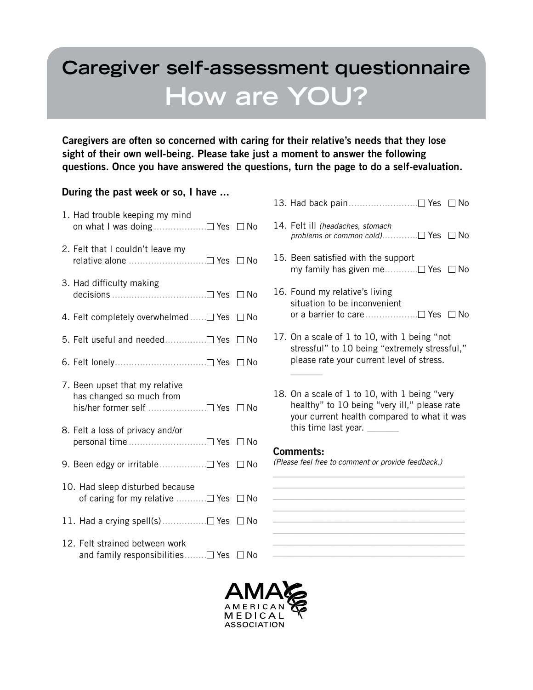# **Caregiver self-assessment questionnaire How are YOU?**

Caregivers are often so concerned with caring for their relative's needs that they lose sight of their own well-being. Please take just a moment to answer the following questions. Once you have answered the questions, turn the page to do a self-evaluation.

## During the past week or so, I have ...

- 1. Had trouble keeping my mind on what I was doing  $\dots \dots \dots \dots \dots \square$  Yes  $\square$  No
- 2. Felt that I couldn't leave my relative alone ..............................□ Yes □ No
- 3. Had difficulty making decisions .................................. Yes No
- 4. Felt completely overwhelmed...... $\Box$  Yes  $\Box$  No
- 5. Felt useful and needed............... Yes No
- 6. Felt lonely...................................□ Yes □ No
- 7. Been upset that my relative has changed so much from his/her former self ......................□ Yes □ No
- 8. Felt a loss of privacy and/or personal time ............................ Yes No
- 9. Been edgy or irritable................□ Yes □ No
- 10. Had sleep disturbed because of caring for my relative  $\dots\dots\dots \square$  Yes  $\square$  No
- 11. Had a crying spell(s)................ Yes No
- 12. Felt strained between work and family responsibilities........ $\Box$  Yes  $\Box$  No
- 13. Had back pain......................... Yes No
- 14. Felt ill (headaches, stomach problems or common cold)............... $\Box$  Yes  $\Box$  No
- 15. Been satisfied with the support my family has given me............ Yes No
- 16. Found my relative's living situation to be inconvenient or a barrier to care......................□ Yes □ No
- 17. On a scale of 1 to 10, with 1 being "not stressful" to 10 being "extremely stressful," please rate your current level of stress.
- 18. On a scale of 1 to 10, with 1 being "very healthy" to 10 being "very ill," please rate your current health compared to what it was this time last year. \_\_\_\_\_\_\_

\_\_\_\_\_\_\_\_\_\_\_\_\_\_\_\_\_\_\_\_\_\_\_\_\_\_\_\_\_\_\_\_\_\_\_\_\_\_\_\_\_\_ \_\_\_\_\_\_\_\_\_\_\_\_\_\_\_\_\_\_\_\_\_\_\_\_\_\_\_\_\_\_\_\_\_\_\_\_\_\_\_\_\_\_ \_\_\_\_\_\_\_\_\_\_\_\_\_\_\_\_\_\_\_\_\_\_\_\_\_\_\_\_\_\_\_\_\_\_\_\_\_\_\_\_\_\_ \_\_\_\_\_\_\_\_\_\_\_\_\_\_\_\_\_\_\_\_\_\_\_\_\_\_\_\_\_\_\_\_\_\_\_\_\_\_\_\_\_\_ \_\_\_\_\_\_\_\_\_\_\_\_\_\_\_\_\_\_\_\_\_\_\_\_\_\_\_\_\_\_\_\_\_\_\_\_\_\_\_\_\_\_ \_\_\_\_\_\_\_\_\_\_\_\_\_\_\_\_\_\_\_\_\_\_\_\_\_\_\_\_\_\_\_\_\_\_\_\_\_\_\_\_\_\_ \_\_\_\_\_\_\_\_\_\_\_\_\_\_\_\_\_\_\_\_\_\_\_\_\_\_\_\_\_\_\_\_\_\_\_\_\_\_\_\_\_\_ \_\_\_\_\_\_\_\_\_\_\_\_\_\_\_\_\_\_\_\_\_\_\_\_\_\_\_\_\_\_\_\_\_\_\_\_\_\_\_\_\_\_

## Comments:

 $\overline{\phantom{a}}$ 

(Please feel free to comment or provide feedback.)